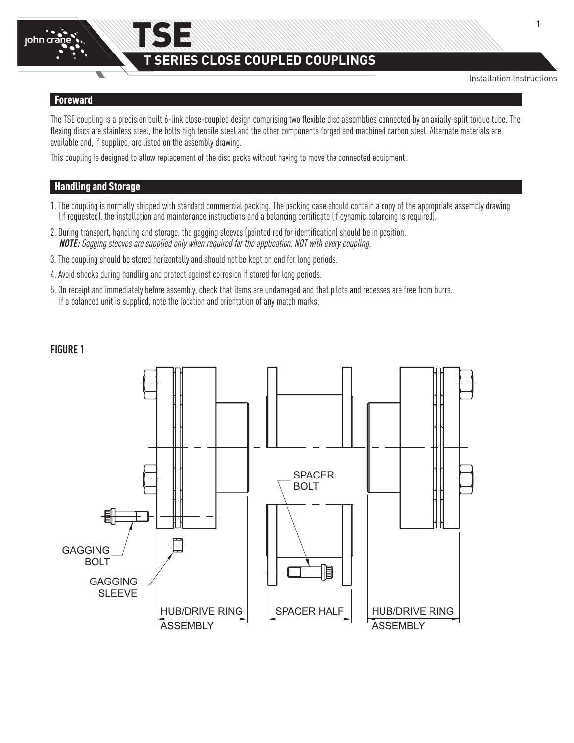

# TSE **T SERIES CLOSE COUPLED COUPLINGS**

Installation Instructions

### Foreward

The TSE coupling is a precision built 6-link close-coupled design comprising two flexible disc assemblies connected by an axially-split torque tube. The flexing discs are stainless steel, the bolts high tensile steel and the other components forged and machined carbon steel. Alternate materials are available and, if supplied, are listed on the assembly drawing.

This coupling is designed to allow replacement of the disc packs without having to move the connected equipment.

# Handling and Storage

- 1. The coupling is normally shipped with standard commercial packing. The packing case should contain a copy of the appropriate assembly drawing (if requested), the installation and maintenance instructions and a balancing certificate (if dynamic balancing is required).
- 2. During transport, handling and storage, the gagging sleeves (painted red for identification) should be in position. **NOTE:** Gagging sleeves are supplied only when required for the application, NOT with every coupling.
- 3. The coupling should be stored horizontally and should not be kept on end for long periods.
- 4. Avoid shocks during handling and protect against corrosion if stored for long periods.
- 5. On receipt and immediately before assembly, check that items are undamaged and that pilots and recesses are free from burrs. If a balanced unit is supplied, note the location and orientation of any match marks.

# **FIGURE 1**

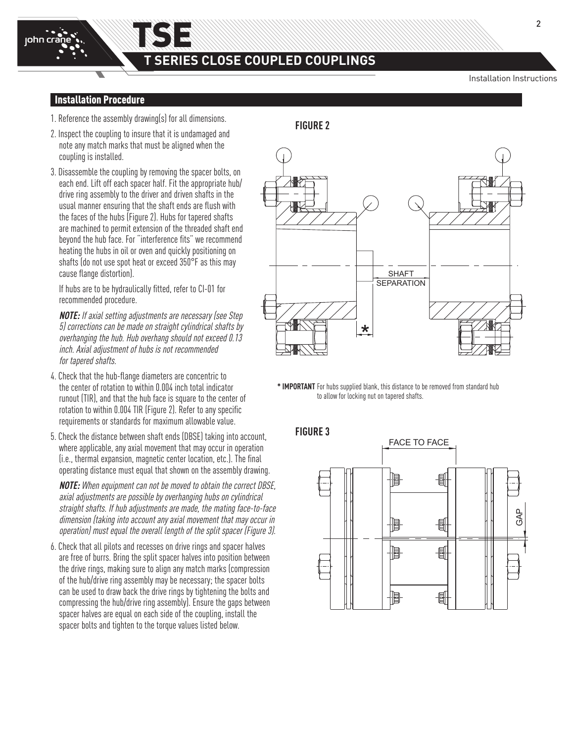HUB/DRIVE RING ASSEMBLY

### Installation Procedure

john crane

- 1. Reference the assembly drawing(s) for all dimensions.
- 2. Inspect the coupling to insure that it is undamaged and note any match marks that must be aligned when the coupling is installed.
- 3. Disassemble the coupling by removing the spacer bolts, on each end. Lift off each spacer half. Fit the appropriate hub/ drive ring assembly to the driver and driven shafts in the usual manner ensuring that the shaft ends are flush with the faces of the hubs (Figure 2). Hubs for tapered shafts are machined to permit extension of the threaded shaft end beyond the hub face. For "interference fits" we recommend heating the hubs in oil or oven and quickly positioning on shafts (do not use spot heat or exceed 350°F as this may cause flange distortion).

If hubs are to be hydraulically fitted, refer to CI-01 for recommended procedure.

**NOTE:** If axial setting adjustments are necessary (see Step 5) corrections can be made on straight cylindrical shafts by overhanging the hub. Hub overhang should not exceed 0.13 inch. Axial adjustment of hubs is not recommended for tapered shafts.

- 4. Check that the hub-flange diameters are concentric to the center of rotation to within 0.004 inch total indicator runout (TIR), and that the hub face is square to the center of rotation to within 0.004 TIR (Figure 2). Refer to any specific requirements or standards for maximum allowable value.
- 5. Check the distance between shaft ends (DBSE) taking into account, where applicable, any axial movement that may occur in operation (i.e., thermal expansion, magnetic center location, etc.). The final operating distance must equal that shown on the assembly drawing.

**NOTE:** When equipment can not be moved to obtain the correct DBSE, axial adjustments are possible by overhanging hubs on cylindrical straight shafts. If hub adjustments are made, the mating face-to-face dimension (taking into account any axial movement that may occur in operation) must equal the overall length of the split spacer (Figure 3).

6. Check that all pilots and recesses on drive rings and spacer halves are free of burrs. Bring the split spacer halves into position between the drive rings, making sure to align any match marks (compression of the hub/drive ring assembly may be necessary; the spacer bolts can be used to draw back the drive rings by tightening the bolts and compressing the hub/drive ring assembly). Ensure the gaps between spacer halves are equal on each side of the coupling, install the spacer bolts and tighten to the torque values listed below.

**FIGURE 2**

HUB/DRIVE RING ASSEMBLY



SPACER HALF

\* **IMPORTANT** For hubs supplied blank, this distance to be removed from standard hub to allow for locking nut on tapered shafts.

**FIGURE 3**

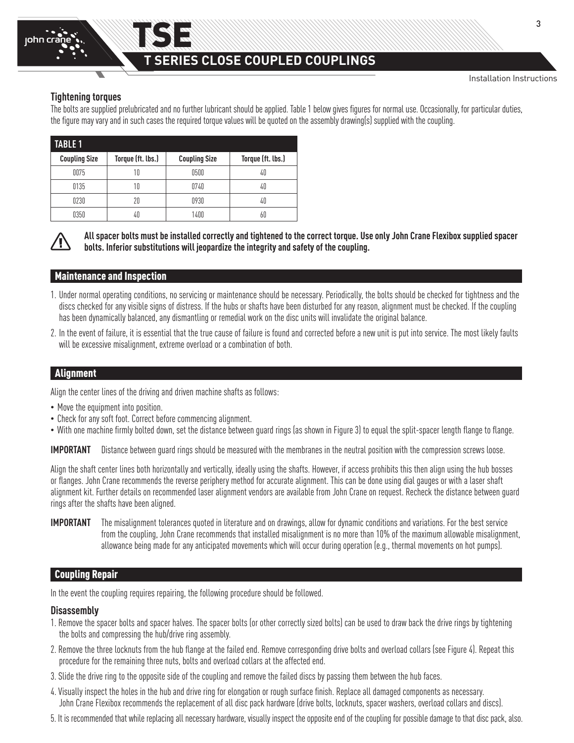# **T SERIES CLOSE COUPLED COUPLINGS**

## **Tightening torques**

The bolts are supplied prelubricated and no further lubricant should be applied. Table 1 below gives figures for normal use. Occasionally, for particular duties, the figure may vary and in such cases the required torque values will be quoted on the assembly drawing(s) supplied with the coupling.

|                      | <b>TABLE 1</b> |                                           |      |                   |  |  |
|----------------------|----------------|-------------------------------------------|------|-------------------|--|--|
| <b>Coupling Size</b> |                | Torque (ft. lbs.)<br><b>Coupling Size</b> |      | Torque (ft. lbs.) |  |  |
|                      | 0075           | 10                                        | 0500 | 40                |  |  |
|                      | 0135           | 10                                        | 0740 | 40                |  |  |
|                      | 0230           | 20                                        | 0930 | 40                |  |  |
|                      | 0350           | 40                                        | 1400 |                   |  |  |

TSE



**All spacer bolts must be installed correctly and tightened to the correct torque. Use only John Crane Flexibox supplied spacer bolts. Inferior substitutions will jeopardize the integrity and safety of the coupling.**

## Maintenance and Inspection

- 1. Under normal operating conditions, no servicing or maintenance should be necessary. Periodically, the bolts should be checked for tightness and the discs checked for any visible signs of distress. If the hubs or shafts have been disturbed for any reason, alignment must be checked. If the coupling has been dynamically balanced, any dismantling or remedial work on the disc units will invalidate the original balance.
- 2. In the event of failure, it is essential that the true cause of failure is found and corrected before a new unit is put into service. The most likely faults will be excessive misalignment, extreme overload or a combination of both.

## Alignment

Align the center lines of the driving and driven machine shafts as follows:

- Move the equipment into position.
- Check for any soft foot. Correct before commencing alignment.
- With one machine firmly bolted down, set the distance between guard rings (as shown in Figure 3) to equal the split-spacer length flange to flange.

**IMPORTANT** Distance between guard rings should be measured with the membranes in the neutral position with the compression screws loose.

Align the shaft center lines both horizontally and vertically, ideally using the shafts. However, if access prohibits this then align using the hub bosses or flanges. John Crane recommends the reverse periphery method for accurate alignment. This can be done using dial gauges or with a laser shaft alignment kit. Further details on recommended laser alignment vendors are available from John Crane on request. Recheck the distance between guard rings after the shafts have been aligned.

**IMPORTANT** The misalignment tolerances quoted in literature and on drawings, allow for dynamic conditions and variations. For the best service from the coupling, John Crane recommends that installed misalignment is no more than 10% of the maximum allowable misalignment, allowance being made for any anticipated movements which will occur during operation (e.g., thermal movements on hot pumps).

# Coupling Repair

In the event the coupling requires repairing, the following procedure should be followed.

### **Disassembly**

- 1. Remove the spacer bolts and spacer halves. The spacer bolts (or other correctly sized bolts) can be used to draw back the drive rings by tightening the bolts and compressing the hub/drive ring assembly.
- 2. Remove the three locknuts from the hub flange at the failed end. Remove corresponding drive bolts and overload collars (see Figure 4). Repeat this procedure for the remaining three nuts, bolts and overload collars at the affected end.
- 3. Slide the drive ring to the opposite side of the coupling and remove the failed discs by passing them between the hub faces.
- 4. Visually inspect the holes in the hub and drive ring for elongation or rough surface finish. Replace all damaged components as necessary. John Crane Flexibox recommends the replacement of all disc pack hardware (drive bolts, locknuts, spacer washers, overload collars and discs).
- 5. It is recommended that while replacing all necessary hardware, visually inspect the opposite end of the coupling for possible damage to that disc pack, also.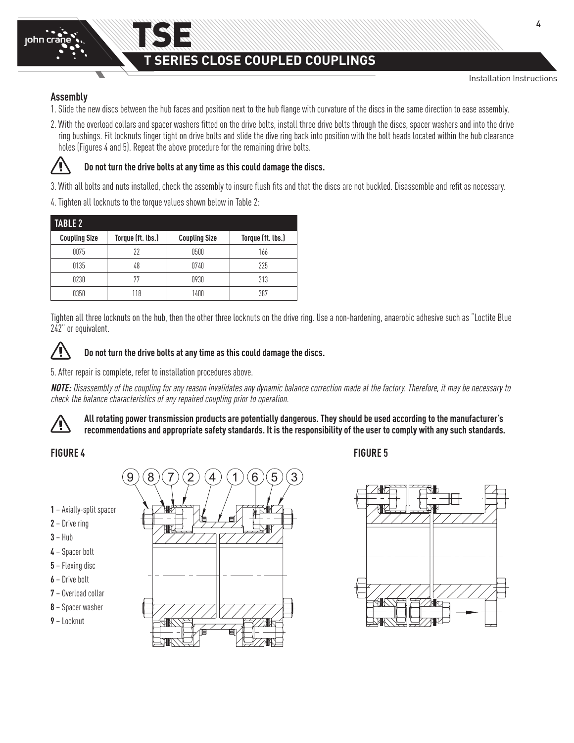# TSE **T SERIES CLOSE COUPLED COUPLINGS**

## **Assembly**

- 1. Slide the new discs between the hub faces and position next to the hub flange with curvature of the discs in the same direction to ease assembly.
- 2. With the overload collars and spacer washers fitted on the drive bolts, install three drive bolts through the discs, spacer washers and into the drive ring bushings. Fit locknuts finger tight on drive bolts and slide the dive ring back into position with the bolt heads located within the hub clearance holes (Figures 4 and 5). Repeat the above procedure for the remaining drive bolts.



# **Do not turn the drive bolts at any time as this could damage the discs.**

3. With all bolts and nuts installed, check the assembly to insure flush fits and that the discs are not buckled. Disassemble and refit as necessary.

4. Tighten all locknuts to the torque values shown below in Table 2:

| <b>TABLE 2</b>       |                   |                      |                   |  |
|----------------------|-------------------|----------------------|-------------------|--|
| <b>Coupling Size</b> | Torque (ft. lbs.) | <b>Coupling Size</b> | Torque (ft. lbs.) |  |
| 0075                 | 22                | 0500                 | 166               |  |
| 0135                 | 48                | 0740                 | 225               |  |
| 0230                 | 77                | 0930                 | 313               |  |
| 0350                 | 118               | 1400                 | 387               |  |

Tighten all three locknuts on the hub, then the other three locknuts on the drive ring. Use a non-hardening, anaerobic adhesive such as "Loctite Blue 242" or equivalent.



# **Do not turn the drive bolts at any time as this could damage the discs.**

5. After repair is complete, refer to installation procedures above.

**NOTE:** Disassembly of the coupling for any reason invalidates any dynamic balance correction made at the factory. Therefore, it may be necessary to check the balance characteristics of any repaired coupling prior to operation.

**All rotating power transmission products are potentially dangerous. They should be used according to the manufacturer's**  ⁄Ţ **recommendations and appropriate safety standards. It is the responsibility of the user to comply with any such standards.**

- **1** Axially-split spacer
- **2** Drive ring
- **3** Hub
- **4** Spacer bolt
- **5** Flexing disc
- **6** Drive bolt
- **7** Overload collar
- **8** Spacer washer
- **9** Locknut



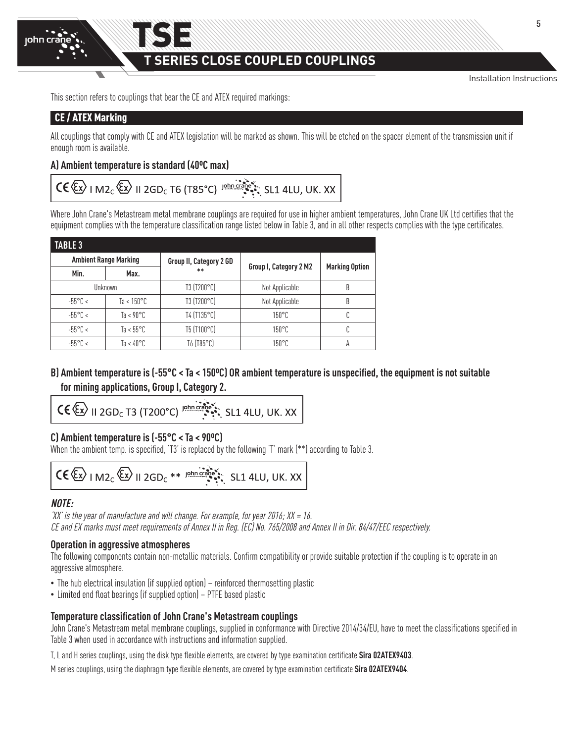# **T SERIES CLOSE COUPLED COUPLINGS**

Installation Instructions

This section refers to couplings that bear the CE and ATEX required markings:

TSE

# CE / ATEX Marking

All couplings that comply with CE and ATEX legislation will be marked as shown. This will be etched on the spacer element of the transmission unit if enough room is available.

# **A) Ambient temperature is standard (40ºC max)**

# $CE \langle \overleftrightarrow{\xi_x} \rangle$  | M2<sub>C</sub> $\langle \overleftrightarrow{\xi_x} \rangle$  || 2GD<sub>C</sub> T6 (T85°C) |  $\overleftrightarrow{\xi_y}$  ||shn creative state SL1 4LU, UK. XX

Where John Crane's Metastream metal membrane couplings are required for use in higher ambient temperatures, John Crane UK Ltd certifies that the equipment complies with the temperature classification range listed below in Table 3, and in all other respects complies with the type certificates.

| <b>TABLE 3</b>               |                      |                         |                        |                       |  |
|------------------------------|----------------------|-------------------------|------------------------|-----------------------|--|
| <b>Ambient Range Marking</b> |                      | Group II, Category 2 GD | Group I, Category 2 M2 |                       |  |
| Min.                         | Max.                 | $**$                    |                        | <b>Marking Option</b> |  |
|                              | Unknown              | T3 (T200°C)             | Not Applicable         | B                     |  |
| $-55^{\circ}$ C <            | Ta < $150^{\circ}$ C | T3 (T200°C)             | Not Applicable         | B                     |  |
| $-55^{\circ}$ C <            | Ta < $90^{\circ}$ C  | T4 (T135°C)             | $150^{\circ}$ C        |                       |  |
| $-55^{\circ}$ C <            | Ta < $55^{\circ}$ C  | T5 (T100°C)             | $150^{\circ}$ C        |                       |  |
| $-55^{\circ}$ C <            | Ta < 40°C.           | T6 (T85°C)              | $150^{\circ}$ C        | А                     |  |

# **B) Ambient temperature is (-55°C < Ta < 150ºC) OR ambient temperature is unspecified, the equipment is not suitable for mining applications, Group I, Category 2.**

$$
\mathsf{CE} \leftarrow \mathsf{KL} \parallel \mathsf{2GD}_c \mathsf{T3} \left( \mathsf{T200}^{\circ} \mathsf{C} \right) \xrightarrow{\mathsf{John} \cdot \mathsf{C3.1}} \mathsf{SL1} \mathsf{4LU}, \mathsf{UK}. \mathsf{XX} \right)
$$

# **C) Ambient temperature is (-55°C < Ta < 90ºC)**

When the ambient temp. is specified, 'T3' is replaced by the following 'T' mark (\*\*) according to Table 3.

$$
\mathsf{CE} \langle \overleftrightarrow{\mathsf{Ex}} \rangle \vdash \mathsf{M2}_{\mathsf{C}} \langle \overleftrightarrow{\mathsf{Ex}} \rangle \vdash \mathsf{12}_{\mathsf{G}} \mathsf{D}_{\mathsf{C}} \ast \ast \xrightarrow{\mathsf{12}_{\mathsf{D}} \mathsf{Inr} \mathsf{C}} \mathsf{S1}_{\bullet} \mathsf{14}_{\bullet} \mathsf{11}_{\bullet} \mathsf{UK.} \mathsf{XX}
$$

# **NOTE:**

'XX' is the year of manufacture and will change. For example, for year 2016;  $XX = 16$ . CE and EX marks must meet requirements of Annex II in Reg. (EC) No. 765/2008 and Annex II in Dir. 84/47/EEC respectively.

# **Operation in aggressive atmospheres**

The following components contain non-metallic materials. Confirm compatibility or provide suitable protection if the coupling is to operate in an aggressive atmosphere.

- The hub electrical insulation (if supplied option) reinforced thermosetting plastic
- Limited end float bearings (if supplied option) PTFE based plastic

# **Temperature classification of John Crane's Metastream couplings**

John Crane's Metastream metal membrane couplings, supplied in conformance with Directive 2014/34/EU, have to meet the classifications specified in Table 3 when used in accordance with instructions and information supplied.

T, L and H series couplings, using the disk type flexible elements, are covered by type examination certificate **Sira 02ATEX9403**.

M series couplings, using the diaphragm type flexible elements, are covered by type examination certificate **Sira 02ATEX9404**.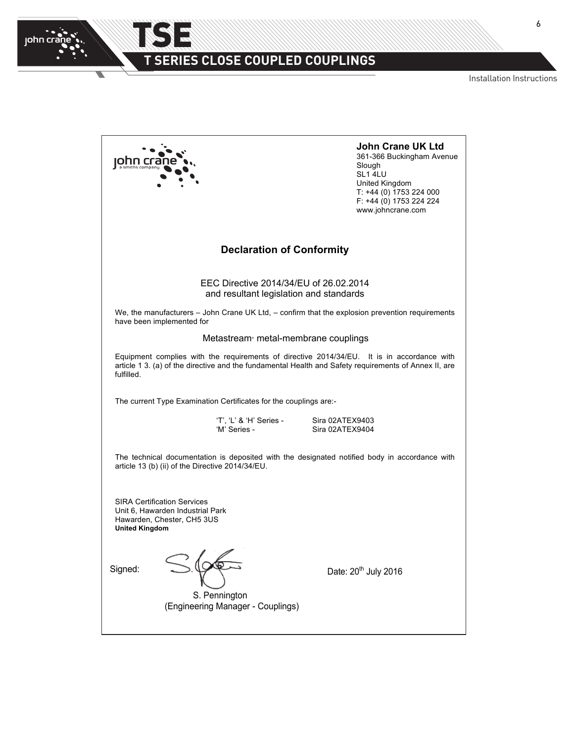

 $\overline{\phantom{0}}$ 

# **T SERIES CLOSE COUPLED COUPLINGS**

TSE

 $N$  Installation Instructions

|                                                                                                                                                                                                                   | <b>John Crane UK Ltd</b><br>361-366 Buckingham Avenue<br>Slough<br>SL1 4LU<br>United Kingdom<br>T: +44 (0) 1753 224 000<br>F: +44 (0) 1753 224 224<br>www.johncrane.com |  |  |
|-------------------------------------------------------------------------------------------------------------------------------------------------------------------------------------------------------------------|-------------------------------------------------------------------------------------------------------------------------------------------------------------------------|--|--|
| <b>Declaration of Conformity</b>                                                                                                                                                                                  |                                                                                                                                                                         |  |  |
| EEC Directive 2014/34/EU of 26.02.2014<br>and resultant legislation and standards                                                                                                                                 |                                                                                                                                                                         |  |  |
| We, the manufacturers - John Crane UK Ltd, - confirm that the explosion prevention requirements<br>have been implemented for                                                                                      |                                                                                                                                                                         |  |  |
| Metastream <sup>®</sup> metal-membrane couplings                                                                                                                                                                  |                                                                                                                                                                         |  |  |
| Equipment complies with the requirements of directive 2014/34/EU. It is in accordance with<br>article 1 3. (a) of the directive and the fundamental Health and Safety requirements of Annex II, are<br>fulfilled. |                                                                                                                                                                         |  |  |
| The current Type Examination Certificates for the couplings are:-                                                                                                                                                 |                                                                                                                                                                         |  |  |
| 'T', 'L' & 'H' Series -<br>'M' Series -                                                                                                                                                                           | Sira 02ATEX9403<br>Sira 02ATEX9404                                                                                                                                      |  |  |
| The technical documentation is deposited with the designated notified body in accordance with<br>article 13 (b) (ii) of the Directive 2014/34/EU.                                                                 |                                                                                                                                                                         |  |  |
| <b>SIRA Certification Services</b><br>Unit 6, Hawarden Industrial Park<br>Hawarden, Chester, CH5 3US<br><b>United Kingdom</b>                                                                                     |                                                                                                                                                                         |  |  |
| Signed:<br>S. Pennington<br>(Engineering Manager - Couplings)                                                                                                                                                     | Date: 20 <sup>th</sup> July 2016                                                                                                                                        |  |  |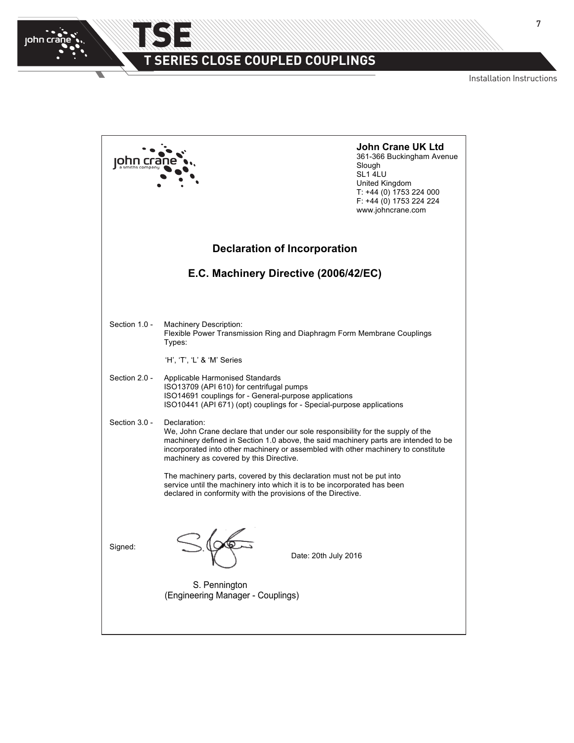

 $\overline{\phantom{0}}$ 

# **T SERIES CLOSE COUPLED COUPLINGS**

TSE

Installation Instructions

|               |                                                                                                                                                                                                                                                                                                                        | <b>John Crane UK Ltd</b><br>361-366 Buckingham Avenue<br>Slough<br>SL1 4LU<br><b>United Kingdom</b><br>T: +44 (0) 1753 224 000<br>F: +44 (0) 1753 224 224<br>www.johncrane.com |
|---------------|------------------------------------------------------------------------------------------------------------------------------------------------------------------------------------------------------------------------------------------------------------------------------------------------------------------------|--------------------------------------------------------------------------------------------------------------------------------------------------------------------------------|
|               | <b>Declaration of Incorporation</b>                                                                                                                                                                                                                                                                                    |                                                                                                                                                                                |
|               | E.C. Machinery Directive (2006/42/EC)                                                                                                                                                                                                                                                                                  |                                                                                                                                                                                |
|               |                                                                                                                                                                                                                                                                                                                        |                                                                                                                                                                                |
| Section 1.0 - | <b>Machinery Description:</b><br>Flexible Power Transmission Ring and Diaphragm Form Membrane Couplings<br>Types:                                                                                                                                                                                                      |                                                                                                                                                                                |
|               | 'H', 'T', 'L' & 'M' Series                                                                                                                                                                                                                                                                                             |                                                                                                                                                                                |
| Section 2.0 - | Applicable Harmonised Standards<br>ISO13709 (API 610) for centrifugal pumps<br>ISO14691 couplings for - General-purpose applications<br>ISO10441 (API 671) (opt) couplings for - Special-purpose applications                                                                                                          |                                                                                                                                                                                |
| Section 3.0 - | Declaration:<br>We, John Crane declare that under our sole responsibility for the supply of the<br>machinery defined in Section 1.0 above, the said machinery parts are intended to be<br>incorporated into other machinery or assembled with other machinery to constitute<br>machinery as covered by this Directive. |                                                                                                                                                                                |
|               | The machinery parts, covered by this declaration must not be put into<br>service until the machinery into which it is to be incorporated has been<br>declared in conformity with the provisions of the Directive.                                                                                                      |                                                                                                                                                                                |
| Signed:       | Date: 20th July 2016                                                                                                                                                                                                                                                                                                   |                                                                                                                                                                                |
|               | S. Pennington<br>(Engineering Manager - Couplings)                                                                                                                                                                                                                                                                     |                                                                                                                                                                                |